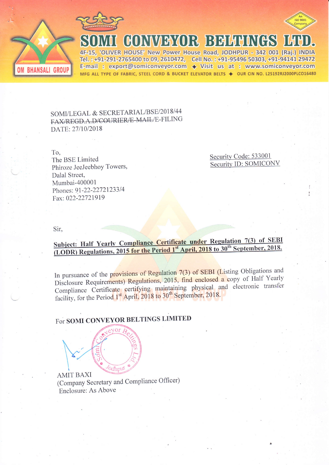



**OM BHANSALI GROUP** 

4F-15, 'OLIVER HOUSE' New Power House Road, JODHPUR - 342 001 (Raj.) INDIA Tel.: +91-291-2765400 to 09, 2610472, Cell No.: +91-95496 50303, +91-94141 29472 E-mail: export@somiconveyor.com  $\leftrightarrow$  Visit us at: www.somiconveyor.com MFG ALL TYPE OF FABRIC, STEEL CORD & BUCKET ELEVATOR BELTS ♦ OUR CIN NO. L25192RJ2000PLCO16480

II GONVEYOR BEHHNGS LI

SOMI/LEGAL & SECRETARIAL/BSE/2018/44 FAX/REGD.A.D/COURIER/E-MAIL/E-FILING DATE: 27/10/2018

To.

The BSE Limited Phiroze JeeJeebhoy Towers, Dalal Street, Mumbai-400001 Phones: 91-22-22721233/4 Fax: 022-22721919

Security Code: 533001 Security ID: SOMICONV

Sir.

## Subject: Half Yearly Compliance Certificate under Regulation 7(3) of SEBI (LODR) Regulations, 2015 for the Period 1<sup>st</sup> April, 2018 to 30<sup>th</sup> September, 2018.

In pursuance of the provisions of Regulation 7(3) of SEBI (Listing Obligations and Disclosure Requirements) Regulations, 2015, find enclosed a copy of Half Yearly Compliance Certificate certifying maintaining physical and electronic transfer facility, for the Period 1<sup>st</sup> April, 2018 to 30<sup>th</sup> September, 2018.

## For SOMI CONVEYOR BELTINGS LIMITED

*Odhput* 

**AMIT BAXI** (Company Secretary and Compliance Officer) Enclosure: As Above